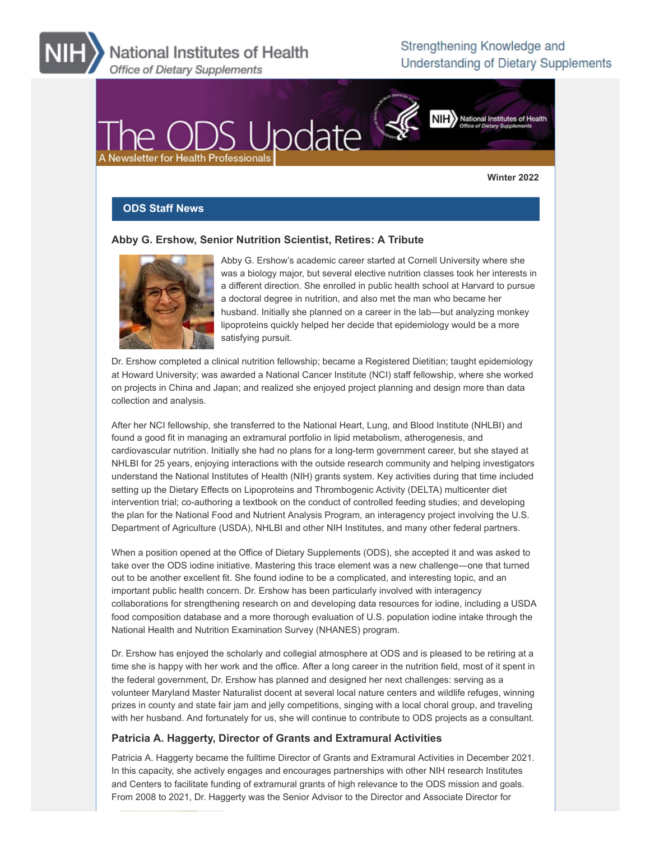National Institutes of Health Office of Dietary Supplements

# Strengthening Knowledge and Understanding of Dietary Supplements



#### **Winter 2022**

#### **ODS Staff News**

#### **Abby G. Ershow, Senior Nutrition Scientist, Retires: A Tribute**



Abby G. Ershow's academic career started at Cornell University where she was a biology major, but several elective nutrition classes took her interests in a different direction. She enrolled in public health school at Harvard to pursue a doctoral degree in nutrition, and also met the man who became her husband. Initially she planned on a career in the lab―but analyzing monkey lipoproteins quickly helped her decide that epidemiology would be a more satisfying pursuit.

Dr. Ershow completed a clinical nutrition fellowship; became a Registered Dietitian; taught epidemiology at Howard University; was awarded a National Cancer Institute (NCI) staff fellowship, where she worked on projects in China and Japan; and realized she enjoyed project planning and design more than data collection and analysis.

After her NCI fellowship, she transferred to the National Heart, Lung, and Blood Institute (NHLBI) and found a good fit in managing an extramural portfolio in lipid metabolism, atherogenesis, and cardiovascular nutrition. Initially she had no plans for a long-term government career, but she stayed at NHLBI for 25 years, enjoying interactions with the outside research community and helping investigators understand the National Institutes of Health (NIH) grants system. Key activities during that time included setting up the Dietary Effects on Lipoproteins and Thrombogenic Activity (DELTA) multicenter diet intervention trial; co-authoring a textbook on the conduct of controlled feeding studies; and developing the plan for the National Food and Nutrient Analysis Program, an interagency project involving the U.S. Department of Agriculture (USDA), NHLBI and other NIH Institutes, and many other federal partners.

When a position opened at the Office of Dietary Supplements (ODS), she accepted it and was asked to take over the ODS iodine initiative. Mastering this trace element was a new challenge―one that turned out to be another excellent fit. She found iodine to be a complicated, and interesting topic, and an important public health concern. Dr. Ershow has been particularly involved with interagency collaborations for strengthening research on and developing data resources for iodine, including a USDA food composition database and a more thorough evaluation of U.S. population iodine intake through the National Health and Nutrition Examination Survey (NHANES) program.

Dr. Ershow has enjoyed the scholarly and collegial atmosphere at ODS and is pleased to be retiring at a time she is happy with her work and the office. After a long career in the nutrition field, most of it spent in the federal government, Dr. Ershow has planned and designed her next challenges: serving as a volunteer Maryland Master Naturalist docent at several local nature centers and wildlife refuges, winning prizes in county and state fair jam and jelly competitions, singing with a local choral group, and traveling with her husband. And fortunately for us, she will continue to contribute to ODS projects as a consultant.

#### **Patricia A. Haggerty, Director of Grants and Extramural Activities**

Patricia A. Haggerty became the fulltime Director of Grants and Extramural Activities in December 2021. In this capacity, she actively engages and encourages partnerships with other NIH research Institutes and Centers to facilitate funding of extramural grants of high relevance to the ODS mission and goals. From 2008 to 2021, Dr. Haggerty was the Senior Advisor to the Director and Associate Director for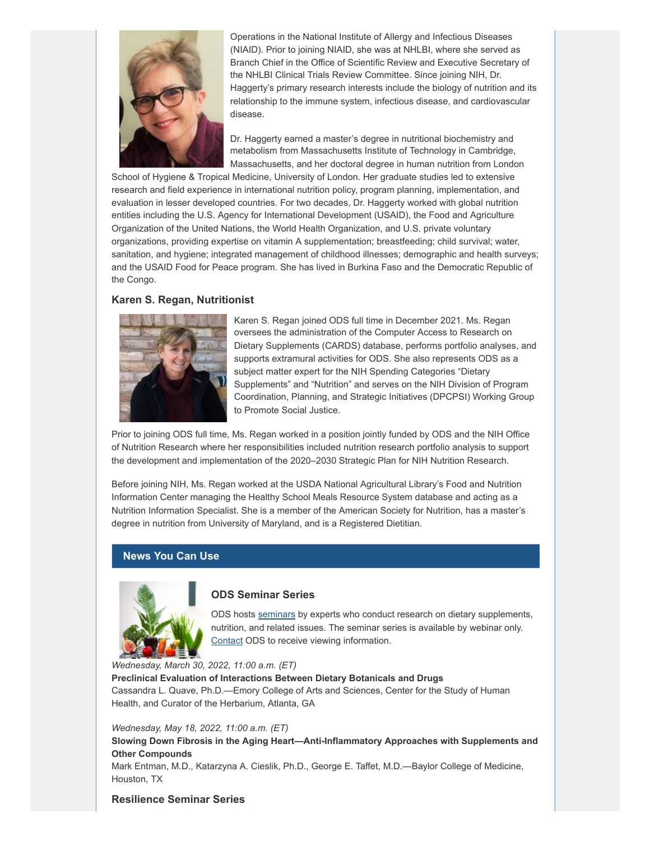

Operations in the National Institute of Allergy and Infectious Diseases (NIAID). Prior to joining NIAID, she was at NHLBI, where she served as Branch Chief in the Office of Scientific Review and Executive Secretary of the NHLBI Clinical Trials Review Committee. Since joining NIH, Dr. Haggerty's primary research interests include the biology of nutrition and its relationship to the immune system, infectious disease, and cardiovascular disease.

Dr. Haggerty earned a master's degree in nutritional biochemistry and metabolism from Massachusetts Institute of Technology in Cambridge, Massachusetts, and her doctoral degree in human nutrition from London

School of Hygiene & Tropical Medicine, University of London. Her graduate studies led to extensive research and field experience in international nutrition policy, program planning, implementation, and evaluation in lesser developed countries. For two decades, Dr. Haggerty worked with global nutrition entities including the U.S. Agency for International Development (USAID), the Food and Agriculture Organization of the United Nations, the World Health Organization, and U.S. private voluntary organizations, providing expertise on vitamin A supplementation; breastfeeding; child survival; water, sanitation, and hygiene; integrated management of childhood illnesses; demographic and health surveys; and the USAID Food for Peace program. She has lived in Burkina Faso and the Democratic Republic of the Congo.

#### **Karen S. Regan, Nutritionist**



Karen S. Regan joined ODS full time in December 2021. Ms. Regan oversees the administration of the Computer Access to Research on Dietary Supplements (CARDS) database, performs portfolio analyses, and supports extramural activities for ODS. She also represents ODS as a subject matter expert for the NIH Spending Categories "Dietary Supplements" and "Nutrition" and serves on the NIH Division of Program Coordination, Planning, and Strategic Initiatives (DPCPSI) Working Group to Promote Social Justice.

Prior to joining ODS full time, Ms. Regan worked in a position jointly funded by ODS and the NIH Office of Nutrition Research where her responsibilities included nutrition research portfolio analysis to support the development and implementation of the 2020–2030 Strategic Plan for NIH Nutrition Research.

Before joining NIH, Ms. Regan worked at the USDA National Agricultural Library's Food and Nutrition Information Center managing the Healthy School Meals Resource System database and acting as a Nutrition Information Specialist. She is a member of the American Society for Nutrition, has a master's degree in nutrition from University of Maryland, and is a Registered Dietitian.

#### **News You Can Use**



### **ODS Seminar Series**

ODS hosts [seminars](https://events-support.com/Documents/ODS_Seminar_Series_2021_2022_Schedule.pdf?utm_medium=email&utm_source=govdelivery) by experts who conduct research on dietary supplements, nutrition, and related issues. The seminar series is available by webinar only. [Contact](mailto:ODS@nih.gov) ODS to receive viewing information.

*Wednesday, March 30, 2022, 11:00 a.m. (ET)*

**Preclinical Evaluation of Interactions Between Dietary Botanicals and Drugs** Cassandra L. Quave, Ph.D.—Emory College of Arts and Sciences, Center for the Study of Human Health, and Curator of the Herbarium, Atlanta, GA

*Wednesday, May 18, 2022, 11:00 a.m. (ET)*

**Slowing Down Fibrosis in the Aging Heart—Anti-Inflammatory Approaches with Supplements and Other Compounds**

Mark Entman, M.D., Katarzyna A. Cieslik, Ph.D., George E. Taffet, M.D.—Baylor College of Medicine, Houston, TX

#### **Resilience Seminar Series**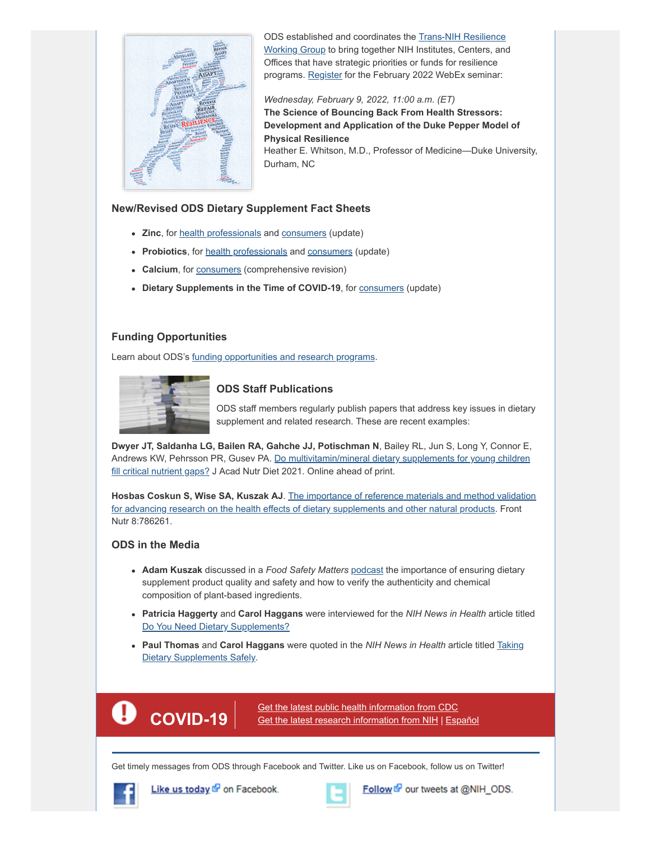

ODS established and coordinates the **Trans-NIH Resilience** Working Group to bring together NIH Institutes, Centers, and Offices that have strategic priorities or funds for resilience programs. [Register](https://events-support.com/events/Trans-NIH_Resilience_Seminar_Series/?utm_medium=email&utm_source=govdelivery) for the February 2022 WebEx seminar:

*Wednesday, February 9, 2022, 11:00 a.m. (ET)* **The Science of Bouncing Back From Health Stressors: Development and Application of the Duke Pepper Model of Physical Resilience** Heather E. Whitson, M.D., Professor of Medicine—Duke University, Durham, NC

#### **New/Revised ODS Dietary Supplement Fact Sheets**

- **Zinc**, for **health professionals** and **consumers** (update)
- **Probiotics**, for [health professionals](https://ods.od.nih.gov/factsheets/Probiotics-HealthProfessional/?utm_medium=email&utm_source=govdelivery) and [consumers](https://ods.od.nih.gov/factsheets/Probiotics-Consumer/?utm_medium=email&utm_source=govdelivery) (update)
- Calcium, for **[consumers](https://ods.od.nih.gov/factsheets/Calcium-Consumer/?utm_medium=email&utm_source=govdelivery)** (comprehensive revision)
- **Dietary Supplements in the Time of COVID-19**, for [consumers](https://ods.od.nih.gov/factsheets/DietarySupplementsInTheTimeOfCOVID19-Consumer/?utm_medium=email&utm_source=govdelivery) (update)

# **Funding Opportunities**

Learn about ODS's [funding opportunities and research programs](https://ods.od.nih.gov/Research/funding.sec.aspx?utm_medium=email&utm_source=govdelivery).



# **ODS Staff Publications**

ODS staff members regularly publish papers that address key issues in dietary supplement and related research. These are recent examples:

**Dwyer JT, Saldanha LG, Bailen RA, Gahche JJ, Potischman N**, Bailey RL, Jun S, Long Y, Connor E, [Andrews KW, Pehrsson PR, Gusev PA. Do multivitamin/mineral dietary supplements for young children](https://pubmed.ncbi.nlm.nih.gov/34687947/?utm_medium=email&utm_source=govdelivery) fill critical nutrient gaps? J Acad Nutr Diet 2021. Online ahead of print.

**Hosbas Coskun S, Wise SA, Kuszak AJ**. The importance of reference materials and method validation [for advancing research on the health effects of dietary supplements and other natural products. Front](https://www.frontiersin.org/articles/10.3389/fnut.2021.786261/full?utm_medium=email&utm_source=govdelivery) Nutr 8:786261.

# **ODS in the Media**

- **Adam Kuszak** discussed in a *Food Safety Matters* [podcast](https://www.food-safety.com/topics/288-food-safety-matters?utm_medium=email&utm_source=govdelivery) the importance of ensuring dietary supplement product quality and safety and how to verify the authenticity and chemical composition of plant-based ingredients.
- **Patricia Haggerty** and **Carol Haggans** were interviewed for the *NIH News in Health* article titled [Do You Need Dietary Supplements?](https://newsinhealth.nih.gov/2021/12/do-you-need-dietary-supplements?utm_medium=email&utm_source=govdelivery)
- **Paul Thomas** and **Carol Haggans** were quoted in the *NIH News in Health* article titled Taking [Dietary Supplements Safely.](https://newsinhealth.nih.gov/2021/12/taking-dietary-supplements-safely?utm_medium=email&utm_source=govdelivery)



[Get the latest public health information from CDC](https://www.cdc.gov/coronavirus/?utm_medium=email&utm_source=govdelivery) **COVID-19** Get the latest public nealth information from CDC<br>**COVID-19** [Get the latest research information from NIH](https://covid19.nih.gov/?utm_medium=email&utm_source=govdelivery) | [Español](https://salud.nih.gov/covid-19/?utm_medium=email&utm_source=govdelivery)

Get timely messages from ODS through Facebook and Twitter. Like us on Facebook, follow us on Twitter!



Like us today & on Facebook.



Follow & our tweets at @NIH\_ODS.